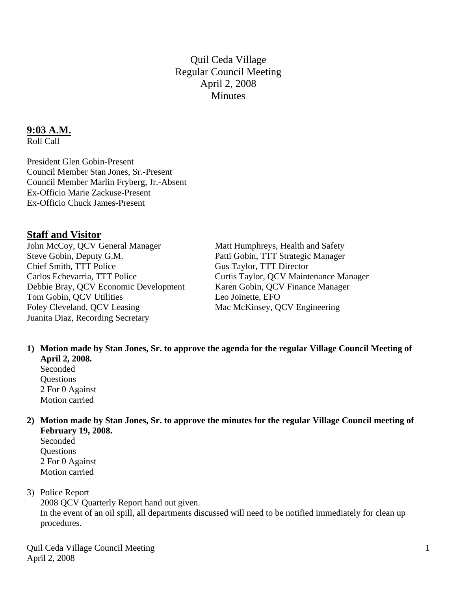Quil Ceda Village Regular Council Meeting April 2, 2008 **Minutes** 

#### **9:03 A.M.**

Roll Call

President Glen Gobin-Present Council Member Stan Jones, Sr.-Present Council Member Marlin Fryberg, Jr.-Absent Ex-Officio Marie Zackuse-Present Ex-Officio Chuck James-Present

### **Staff and Visitor**

John McCoy, QCV General Manager Matt Humphreys, Health and Safety<br>Steve Gobin, Deputy G.M. Patti Gobin, TTT Strategic Manager Chief Smith, TTT Police Gus Taylor, TTT Director Carlos Echevarria, TTT Police Curtis Taylor, QCV Maintenance Manager Debbie Bray, QCV Economic Development Karen Gobin, QCV Finance Manager Tom Gobin, QCV Utilities Leo Joinette, EFO Foley Cleveland, QCV Leasing Mac McKinsey, QCV Engineering Juanita Diaz, Recording Secretary

Patti Gobin, TTT Strategic Manager

**1) Motion made by Stan Jones, Sr. to approve the agenda for the regular Village Council Meeting of April 2, 2008.** 

Seconded **Ouestions** 2 For 0 Against Motion carried

- **2) Motion made by Stan Jones, Sr. to approve the minutes for the regular Village Council meeting of February 19, 2008.** 
	- Seconded **Questions** 2 For 0 Against Motion carried

#### 3) Police Report

 2008 QCV Quarterly Report hand out given. In the event of an oil spill, all departments discussed will need to be notified immediately for clean up procedures.

Quil Ceda Village Council Meeting April 2, 2008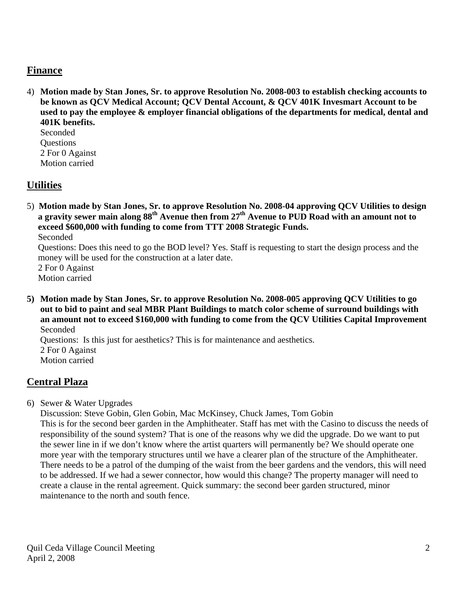## **Finance**

4) **Motion made by Stan Jones, Sr. to approve Resolution No. 2008-003 to establish checking accounts to be known as QCV Medical Account; QCV Dental Account, & QCV 401K Invesmart Account to be used to pay the employee & employer financial obligations of the departments for medical, dental and 401K benefits.**

Seconded **Questions** 2 For 0 Against Motion carried

## **Utilities**

5) **Motion made by Stan Jones, Sr. to approve Resolution No. 2008-04 approving QCV Utilities to design a gravity sewer main along 88th Avenue then from 27th Avenue to PUD Road with an amount not to exceed \$600,000 with funding to come from TTT 2008 Strategic Funds.**

Seconded

 Questions: Does this need to go the BOD level? Yes. Staff is requesting to start the design process and the money will be used for the construction at a later date.

 2 For 0 Against Motion carried

**5) Motion made by Stan Jones, Sr. to approve Resolution No. 2008-005 approving QCV Utilities to go out to bid to paint and seal MBR Plant Buildings to match color scheme of surround buildings with an amount not to exceed \$160,000 with funding to come from the QCV Utilities Capital Improvement** Seconded

 Questions: Is this just for aesthetics? This is for maintenance and aesthetics. 2 For 0 Against Motion carried

# **Central Plaza**

6) Sewer & Water Upgrades

 Discussion: Steve Gobin, Glen Gobin, Mac McKinsey, Chuck James, Tom Gobin This is for the second beer garden in the Amphitheater. Staff has met with the Casino to discuss the needs of responsibility of the sound system? That is one of the reasons why we did the upgrade. Do we want to put the sewer line in if we don't know where the artist quarters will permanently be? We should operate one more year with the temporary structures until we have a clearer plan of the structure of the Amphitheater. There needs to be a patrol of the dumping of the waist from the beer gardens and the vendors, this will need to be addressed. If we had a sewer connector, how would this change? The property manager will need to create a clause in the rental agreement. Quick summary: the second beer garden structured, minor maintenance to the north and south fence.